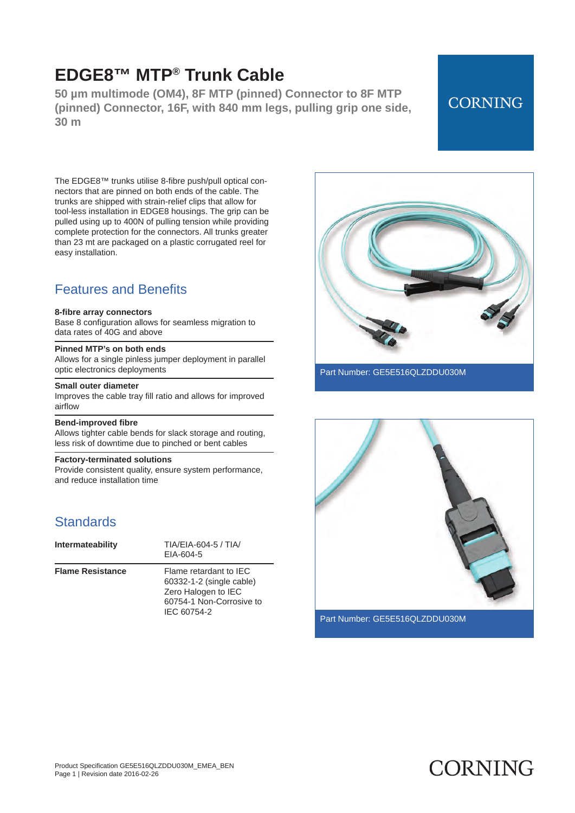**50 µm multimode (OM4), 8F MTP (pinned) Connector to 8F MTP (pinned) Connector, 16F, with 840 mm legs, pulling grip one side, 30 m**

## **CORNING**

The EDGE8™ trunks utilise 8 -fibre push/pull optical connectors that are pinned on both ends of the cable. The trunks are shipped with strain -relief clips that allow for tool -less installation in EDGE8 housings. The grip can be pulled using up to 400N of pulling tension while providing complete protection for the connectors. All trunks greater than 23 mt are packaged on a plastic corrugated reel for easy installation.

### Features and Benefits

#### **8-fibre array connectors**

Base 8 configuration allows for seamless migration to data rates of 40G and above

#### **Pinned MTP's on both ends**

Allows for a single pinless jumper deployment in parallel optic electronics deployments

#### **Small outer diameter**

Improves the cable tray fill ratio and allows for improved airflow

#### **Bend-improved fibre**

Allows tighter cable bends for slack storage and routing, less risk of downtime due to pinched or bent cables

#### **Factory-terminated solutions**

Provide consistent quality, ensure system performance, and reduce installation time

### **Standards**

| Intermateability        | TIA/EIA-604-5 / TIA/<br>EIA-604-5                                                                                    |
|-------------------------|----------------------------------------------------------------------------------------------------------------------|
| <b>Flame Resistance</b> | Flame retardant to IFC<br>60332-1-2 (single cable)<br>Zero Halogen to IEC<br>60754-1 Non-Corrosive to<br>IEC 60754-2 |



Part Number: GE5E516QLZDDU030M



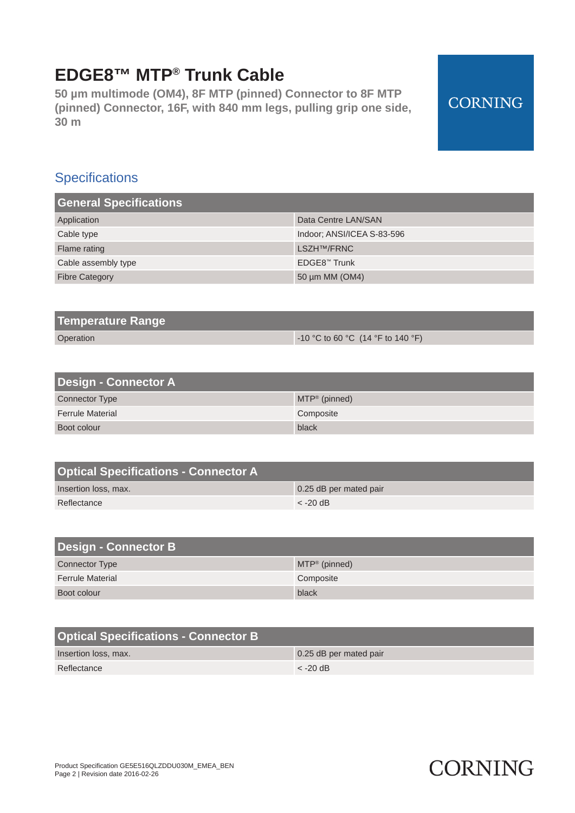**50 µm multimode (OM4), 8F MTP (pinned) Connector to 8F MTP (pinned) Connector, 16F, with 840 mm legs, pulling grip one side, 30 m**

### **Specifications**

| <b>General Specifications</b> |                            |
|-------------------------------|----------------------------|
| Application                   | Data Centre LAN/SAN        |
| Cable type                    | Indoor: ANSI/ICEA S-83-596 |
| Flame rating                  | LSZH <sup>TM</sup> /FRNC   |
| Cable assembly type           | EDGE8™ Trunk               |
| <b>Fibre Category</b>         | 50 µm MM (OM4)             |

| Temperature Range |                                         |
|-------------------|-----------------------------------------|
| Operation         | $\sim$ 10 °C to 60 °C (14 °F to 140 °F) |

| <b>Design - Connector A</b> |                            |
|-----------------------------|----------------------------|
| <b>Connector Type</b>       | $MTP^{\circledR}$ (pinned) |
| <b>Ferrule Material</b>     | Composite                  |
| Boot colour                 | black                      |

| <b>Optical Specifications - Connector A</b> |                        |
|---------------------------------------------|------------------------|
| Insertion loss, max.                        | 0.25 dB per mated pair |
| Reflectance                                 | $\epsilon$ -20 dB      |

| <b>Design - Connector B</b> |                  |
|-----------------------------|------------------|
| <b>Connector Type</b>       | $MTP^*$ (pinned) |
| <b>Ferrule Material</b>     | Composite        |
| Boot colour                 | black            |

| <b>Optical Specifications - Connector B</b> |                        |
|---------------------------------------------|------------------------|
| Insertion loss, max.                        | 0.25 dB per mated pair |
| Reflectance                                 | $\epsilon$ -20 dB      |

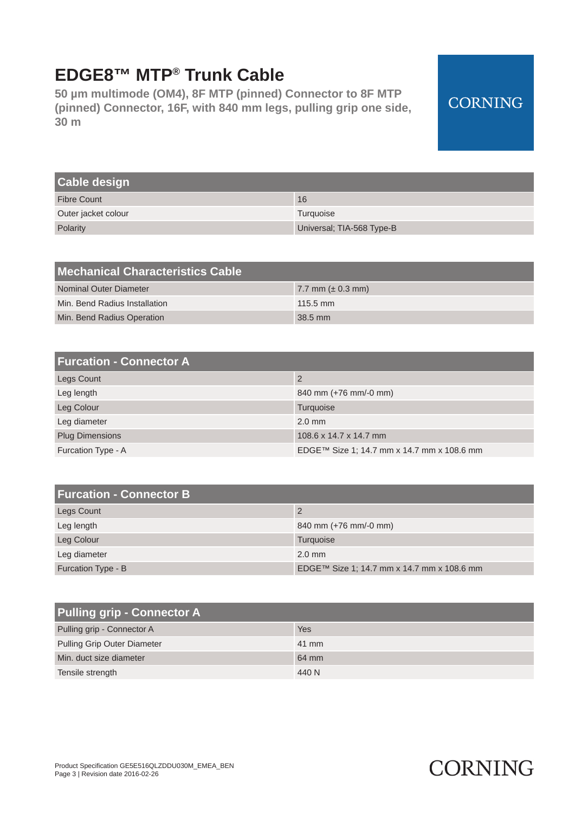**50 µm multimode (OM4), 8F MTP (pinned) Connector to 8F MTP (pinned) Connector, 16F, with 840 mm legs, pulling grip one side, 30 m**

## **CORNING**

| <b>Cable design</b> |                           |
|---------------------|---------------------------|
| <b>Fibre Count</b>  | 16                        |
| Outer jacket colour | Turquoise                 |
| Polarity            | Universal; TIA-568 Type-B |

| Mechanical Characteristics Cable |                        |
|----------------------------------|------------------------|
| Nominal Outer Diameter           | 7.7 mm ( $\pm$ 0.3 mm) |
| Min. Bend Radius Installation    | $115.5 \text{ mm}$     |
| Min. Bend Radius Operation       | $38.5$ mm              |

| <b>Furcation - Connector A</b> |                                            |
|--------------------------------|--------------------------------------------|
| <b>Legs Count</b>              | 2                                          |
| Leg length                     | 840 mm (+76 mm/-0 mm)                      |
| Leg Colour                     | Turquoise                                  |
| Leg diameter                   | $2.0$ mm                                   |
| <b>Plug Dimensions</b>         | 108.6 x 14.7 x 14.7 mm                     |
| Furcation Type - A             | EDGE™ Size 1; 14.7 mm x 14.7 mm x 108.6 mm |

| <b>Furcation - Connector B</b> |                                            |
|--------------------------------|--------------------------------------------|
| Legs Count                     | 2                                          |
| Leg length                     | 840 mm (+76 mm/-0 mm)                      |
| Leg Colour                     | Turquoise                                  |
| Leg diameter                   | $2.0$ mm                                   |
| Furcation Type - B             | EDGE™ Size 1; 14.7 mm x 14.7 mm x 108.6 mm |

| <b>Pulling grip - Connector A</b>  |       |
|------------------------------------|-------|
| Pulling grip - Connector A         | Yes   |
| <b>Pulling Grip Outer Diameter</b> | 41 mm |
| Min. duct size diameter            | 64 mm |
| Tensile strength                   | 440 N |

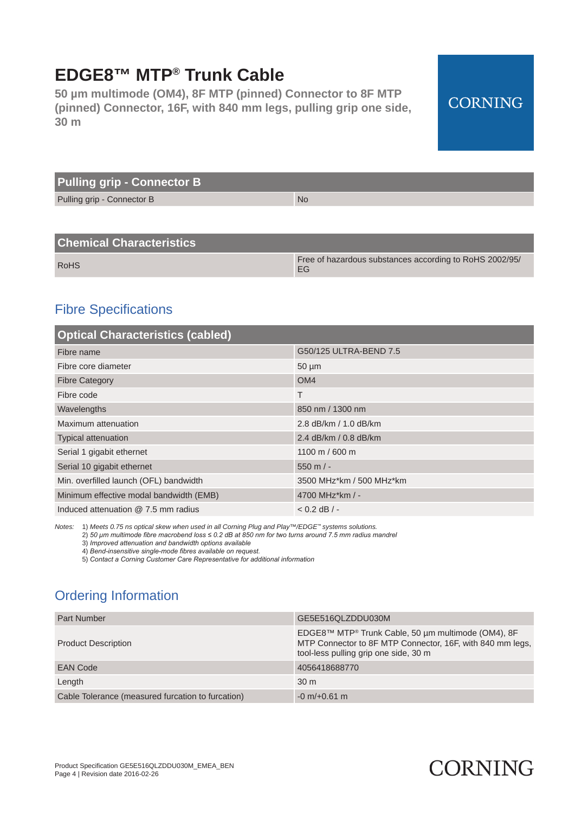**50 µm multimode (OM4), 8F MTP (pinned) Connector to 8F MTP (pinned) Connector, 16F, with 840 mm legs, pulling grip one side, 30 m**

## **CORNING**

| <b>Pulling grip - Connector B</b> |           |
|-----------------------------------|-----------|
| Pulling grip - Connector B        | <b>No</b> |

### **Chemical Characteristics**

| <b>RoHS</b> | Free of hazardous substances according to RoHS 2002/95/ |
|-------------|---------------------------------------------------------|

### Fibre Specifications

| <b>Optical Characteristics (cabled)</b> |                          |  |
|-----------------------------------------|--------------------------|--|
| Fibre name                              | G50/125 ULTRA-BEND 7.5   |  |
| Fibre core diameter                     | $50 \mu m$               |  |
| <b>Fibre Category</b>                   | OM <sub>4</sub>          |  |
| Fibre code                              | T                        |  |
| Wavelengths                             | 850 nm / 1300 nm         |  |
| Maximum attenuation                     | 2.8 dB/km / 1.0 dB/km    |  |
| <b>Typical attenuation</b>              | 2.4 dB/km / 0.8 dB/km    |  |
| Serial 1 gigabit ethernet               | 1100 m / 600 m           |  |
| Serial 10 gigabit ethernet              | $550 \text{ m}$ / -      |  |
| Min. overfilled launch (OFL) bandwidth  | 3500 MHz*km / 500 MHz*km |  |
| Minimum effective modal bandwidth (EMB) | 4700 MHz*km / -          |  |
| Induced attenuation @ 7.5 mm radius     | $< 0.2$ dB $/ -$         |  |

*Notes:* 1) *Meets 0.75 ns optical skew when used in all Corning Plug and Play™/EDGE™ systems solutions.*

2) *50 μm multimode fibre macrobend loss ≤ 0.2 dB at 850 nm for two turns around 7.5 mm radius mandrel*

3) *Improved attenuation and bandwidth options available*

4) *Bend-insensitive single-mode fibres available on request.*

5) *Contact a Corning Customer Care Representative for additional information*

## Ordering Information

| <b>Part Number</b>                                | GE5E516QLZDDU030M                                                                                                                                        |
|---------------------------------------------------|----------------------------------------------------------------------------------------------------------------------------------------------------------|
| <b>Product Description</b>                        | EDGE8™ MTP® Trunk Cable, 50 µm multimode (OM4), 8F<br>MTP Connector to 8F MTP Connector, 16F, with 840 mm legs,<br>tool-less pulling grip one side, 30 m |
| <b>EAN Code</b>                                   | 4056418688770                                                                                                                                            |
| Length                                            | 30 <sub>m</sub>                                                                                                                                          |
| Cable Tolerance (measured furcation to furcation) | $-0$ m/ $+0.61$ m                                                                                                                                        |